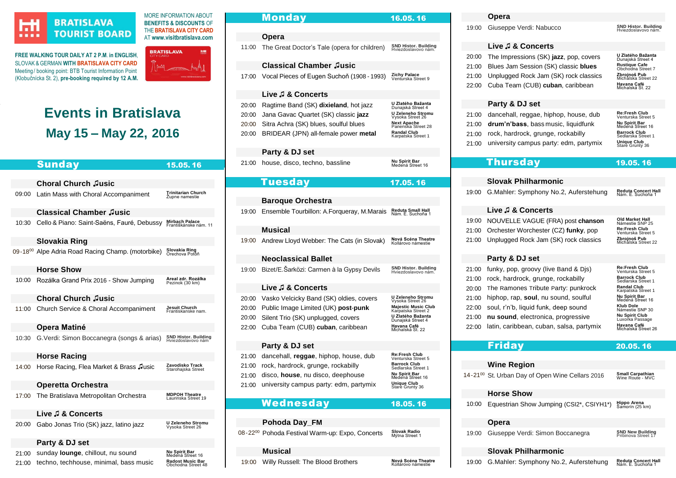

# **BRATISLAVA TOURIST BOARD**

(Klobučnícka St. 2), **pre-booking required by 12 A.M.**

AT **[www.visitbratislava.com](http://www.visitbratislava.com/) FREE WALKING TOUR DAILY AT 2 P.M**. **in ENGLISH**, SLOVAK & GERMAN **WIT[H BRATISLAVA CITY CARD](https://www.visitbratislava.com/your-trip/stay-in-the-city/city-card-advantages/)** Meeting/ booking point: BTB Tourist Information Point



MORE INFORMATION ABOUT **BENEFITS & DISCOUNTS** OF THE**[BRATISLAVA CITY CARD](https://www.visitbratislava.com/your-trip/stay-in-the-city/city-card-advantages/)**

# **Events in Bratislava May 15 – May 22, 2016**

|                | <b>Sunday</b>                              | 15.05.16                                       |
|----------------|--------------------------------------------|------------------------------------------------|
|                |                                            |                                                |
|                | <b>Choral Church Jusic</b>                 |                                                |
| 09:00          | Latin Mass with Choral Accompaniment       | <b>Trinitarian Church</b><br>Župne namestie    |
|                | <b>Classical Chamber Jusic</b>             |                                                |
| 10:30          | Cello & Piano: Saint-Saëns, Fauré, Debussy | <b>Mirbach Palace</b><br>Františkánske nám. 11 |
|                | Slovakia Ring                              |                                                |
| $09 - 18^{00}$ | Alpe Adria Road Racing Champ. (motorbike)  | Slovakia Ring<br>Orechova Potoň                |
|                | <b>Horse Show</b>                          |                                                |
| 10:00          | Rozálka Grand Prix 2016 - Show Jumping     | Areal zdr. Rozálka<br>Pezinok (30 km)          |
|                | <b>Choral Church Jusic</b>                 |                                                |
| 11:00          | Church Service & Choral Accompaniment      | Jesuit Church<br>Frantiskanske nam.            |
|                | Opera Matiné                               |                                                |
| 10:30          | G. Verdi: Simon Boccanegra (songs & arias) | SND Histor. Building<br>Hviezdoslavovo nám     |
|                | <b>Horse Racing</b>                        |                                                |
| 14:00          | Horse Racing, Flea Market & Brass Jusic    | Zavodisko Track<br>Starohajska Street          |
|                | <b>Operetta Orchestra</b>                  |                                                |
| 17:00          | The Bratislava Metropolitan Orchestra      | <b>MDPOH Theatre</b><br>Laurinska Street 19    |
|                | Live J & Concerts                          |                                                |
| 20:00          | Gabo Jonas Trio (SK) jazz, latino jazz     | U Zeleneho Stromu<br>Vysoka Street 26          |
|                | Party & DJ set                             |                                                |
| 21:00          | sunday lounge, chillout, nu sound          | Nu Spirit Bar<br>Medená Street 16              |
| 21:00          | techno, techhouse, minimal, bass music     | <b>Radost Music Bar</b><br>Obchodna Street 48  |

|       | Monday                                       | 16.05. 16                                             |
|-------|----------------------------------------------|-------------------------------------------------------|
|       |                                              |                                                       |
|       | Opera                                        |                                                       |
| 11:00 | The Great Doctor's Tale (opera for children) | <b>SND Histor. Building</b><br>Hviezdoslavovo nám     |
|       | <b>Classical Chamber Jusic</b>               |                                                       |
|       |                                              | Zichy Palace                                          |
| 17:00 | Vocal Pieces of Eugen Suchoň (1908 - 1993)   | Venturska Street 9                                    |
|       | Live J & Concerts                            |                                                       |
| 20:00 | Ragtime Band (SK) dixieland, hot jazz        | U Zlatého Bažanta<br>Dunajská Street 4                |
| 20:00 | Jana Gavac Quartet (SK) classic jazz         | U Zeleneho Stromu                                     |
| 20:00 | Sitra Achra (SK) blues, soulful blues        | Vysoka Street 26<br>Next Apache<br>Panenska Street 28 |
| 20:00 | BRIDEAR (JPN) all-female power metal         | Randal Club                                           |
|       |                                              | Karpatska Street 1                                    |
|       | Party & DJ set                               |                                                       |
| 21:00 | house, disco, techno, bassline               | Nu Spirit Bar<br>Medená Street 16                     |
|       |                                              |                                                       |
|       | Tuesday                                      | 17.05.16                                              |
|       |                                              |                                                       |
|       | <b>Baroque Orchestra</b>                     |                                                       |
| 19:00 | Ensemble Tourbillon: A.Forqueray, M.Marais   | Reduta Small Hall<br>Nám. E. Suchoňa 1                |
|       | Musical                                      |                                                       |
|       |                                              | Nová Scéna Theatre                                    |
| 19:00 | Andrew Lloyd Webber: The Cats (in Slovak)    | Kollárovo námestie                                    |
|       | Neoclassical Ballet                          |                                                       |
| 19:00 | Bizet/E.Šarközi: Carmen à la Gypsy Devils    | <b>SND Histor. Building</b>                           |
|       |                                              | Hviezdoslavovo nám.                                   |
|       | Live ♬ & Concerts                            |                                                       |
| 20:00 | Vasko Velcicky Band (SK) oldies, covers      | U Zeleneho Stromu<br>Vysoka Street 26                 |
| 20:00 | Public Image Limited (UK) post-punk          | Majestic Music Club<br>Karpatska Street 2             |
| 20:00 | Silent Trio (SK) unplugged, covers           | <b>U Zlatého Bažanta</b><br>Dunajská Street 4         |
| 22:00 | Cuba Team (CUB) cuban, caribbean             | Havana Café<br>Michalská St. 22                       |
|       |                                              |                                                       |
|       | Party & DJ set                               |                                                       |
| 21:00 | dancehall, reggae, hiphop, house, dub        | Re:Fresh Club<br>Venturska Street 5                   |
| 21:00 | rock, hardrock, grunge, rockabilly           | Barrock Club<br>Sedlarska Street 1                    |
| 21:00 | disco, house, nu disco, deephouse            | Nu Spirit Bar<br>Medená Street 16                     |
| 21:00 | university campus party: edm, partymix       | Unique Club<br>Stare Grunty 36                        |
|       | Wednesday                                    |                                                       |
|       |                                              | 18.05.16                                              |
|       |                                              |                                                       |

**Pohoda Day\_FM**

[19:00](http://www.nova-scena.sk/) Willy Russell: The Blood Brothers

**Musical**

[08-](https://www.facebook.com/events/1620538901605443/)22<sup>00</sup> Pohoda Festival Warm-up: Expo, Concerts

Slovak Radio

Nová Scéna Theatre

# **Opera**

[19:00](http://www.snd.sk/?program-7) Giuseppe Verdi: Nabucco

**Live ♫ & Concerts**

| 20:00 | The Impressions (SK) jazz, pop, covers      | U Zlatého Bažanta<br>Dunajská Street 4 |
|-------|---------------------------------------------|----------------------------------------|
| 21:00 | Blues Jam Session (SK) classic blues        | Rustique Cafe<br>Obchodna Street 7     |
|       | 21:00 Unplugged Rock Jam (SK) rock classics | Zbrojnoš Pub<br>Michalska Street 22    |
| 22:00 | Cuba Team (CUB) cuban, caribbean            | Havana Café<br>Michalská St. 22        |

# **Party & DJ set**

|       | 21:00 dancehall, reggae, hiphop, house, dub | Re:Fresh Club<br>Venturska Stre        |
|-------|---------------------------------------------|----------------------------------------|
| 21:00 | drum'n'bass, bass music, liquidfunk         | Nu Spirit Bar<br>Medená Street         |
| 21:00 | rock, hardrock, grunge, rockabilly          | <b>Barrock Club</b><br>Sedlarska Stree |
| 21:00 | university campus party: edm, partymix      | <b>Unique Club</b><br>Stare Grunty 36  |

| Ne. Fresh Club<br>Venturska Street 5      |
|-------------------------------------------|
| <b>Nu Spirit Bar</b><br>Medená Street 16  |
| <b>Barrock Club</b><br>Sedlarska Street 1 |
| <b>Unique Club</b><br>Stare Grunty 36     |

SND Histor. Building<br>Hviezdoslavovo nám.

| <b>Thursday</b> | 19.05.16 |
|-----------------|----------|
|-----------------|----------|

| <b>Slovak Philharmonic</b>                  |                                                 |
|---------------------------------------------|-------------------------------------------------|
| 19:00 G.Mahler: Symphony No.2, Auferstehung | <b>Reduta Concert Hall</b><br>Nám. E. Suchoňa 1 |

# **Live ♫ & Concerts**

| 19:00 NOUVELLE VAGUE (FRA) post chanson     | Old Market Hall<br>Námestie SNP 25         |
|---------------------------------------------|--------------------------------------------|
| 21:00 Orchester Worchester (CZ) funky, pop  | <b>Re:Fresh Club</b><br>Venturska Street 5 |
| 21:00 Unplugged Rock Jam (SK) rock classics | Zbrojnoš Pub<br>Michalska Street 22        |

# **Party & DJ set**

|       | 21:00 funky, pop, groovy (live Band & Djs) | <b>Re:Fresh Club</b><br>Venturska Street 5 |
|-------|--------------------------------------------|--------------------------------------------|
| 21:00 | rock, hardrock, grunge, rockabilly         | <b>Barrock Club</b><br>Sedlarska Street 1  |
|       | 20:00 The Ramones Tribute Party: punkrock  | <b>Randal Club</b><br>Karpatska Street 1   |
| 21:00 | hiphop, rap, soul, nu sound, soulful       | Nu Spirit Bar<br>Medená Street 16          |
| 22:00 | soul, r'n'b, liquid funk, deep sound       | Klub Dole<br>Námestie SNP 30               |
| 21:00 | nu sound, electronica, progressive         | Nu Spirit Club<br>Luxorka Passage          |
| 22:00 | latin, caribbean, cuban, salsa, partymix   | Havana Café<br>Michalská Street 26         |
|       |                                            |                                            |

# Friday20.05. 16

# **Wine Region**

[14-21](http://slovakia.travel/en/st-urban-day-of-open-wine-cellars)<sup>00</sup> St. Urban Day of Open Wine Cellars 2016 **Small Carpathian**<br>Wine Route - MVC **Horse Show** [10:00](http://show-jumping.enduranceride.eu/index.php/show-jumping-archive/35-show-jumping-events-2016/111-spring-classic-19-05-22-05-2016) Equestrian Show Jumping (CSI2\*, CSIYH1\*) **Hippo Arena**<br>Šamorín (25 km) **Opera** [19:00](http://www.snd.sk/?program-7) Giuseppe Verdi: Simon Boccanegra **SND New Building**<br>Pribinova Street 17

# **Slovak Philharmonic**

[19:00](http://www.filharmonia.sk/en/) G.Mahler: Symphony No.2, Auferstehung **Reduta Concert Hall** Nám. E. Suchoňa 1